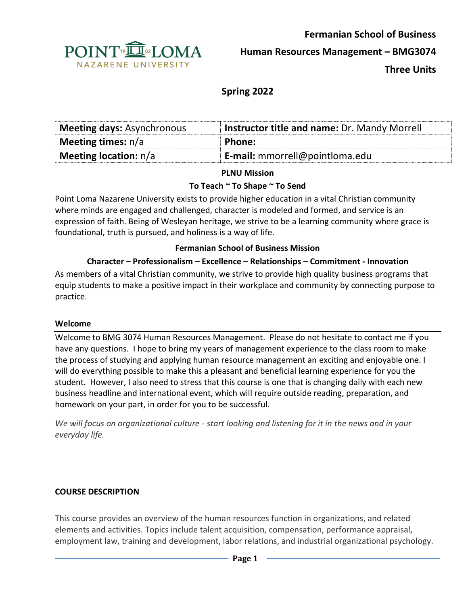

**Fermanian School of Business Human Resources Management – BMG3074** 

**Three Units**

# **Spring 2022**

| <b>Meeting days: Asynchronous</b> | Instructor title and name: Dr. Mandy Morrell |
|-----------------------------------|----------------------------------------------|
| <b>Meeting times:</b> $n/a$       | <b>Phone:</b>                                |
| <b>Meeting location:</b> $n/a$    | E-mail: mmorrell@pointloma.edu               |

#### **PLNU Mission**

#### **To Teach ~ To Shape ~ To Send**

Point Loma Nazarene University exists to provide higher education in a vital Christian community where minds are engaged and challenged, character is modeled and formed, and service is an expression of faith. Being of Wesleyan heritage, we strive to be a learning community where grace is foundational, truth is pursued, and holiness is a way of life.

#### **Fermanian School of Business Mission**

## **Character – Professionalism – Excellence – Relationships – Commitment - Innovation**

As members of a vital Christian community, we strive to provide high quality business programs that equip students to make a positive impact in their workplace and community by connecting purpose to practice.

#### **Welcome**

Welcome to BMG 3074 Human Resources Management. Please do not hesitate to contact me if you have any questions. I hope to bring my years of management experience to the class room to make the process of studying and applying human resource management an exciting and enjoyable one. I will do everything possible to make this a pleasant and beneficial learning experience for you the student. However, I also need to stress that this course is one that is changing daily with each new business headline and international event, which will require outside reading, preparation, and homework on your part, in order for you to be successful.

*We will focus on organizational culture - start looking and listening for it in the news and in your everyday life.* 

## **COURSE DESCRIPTION**

This course provides an overview of the human resources function in organizations, and related elements and activities. Topics include talent acquisition, compensation, performance appraisal, employment law, training and development, labor relations, and industrial organizational psychology.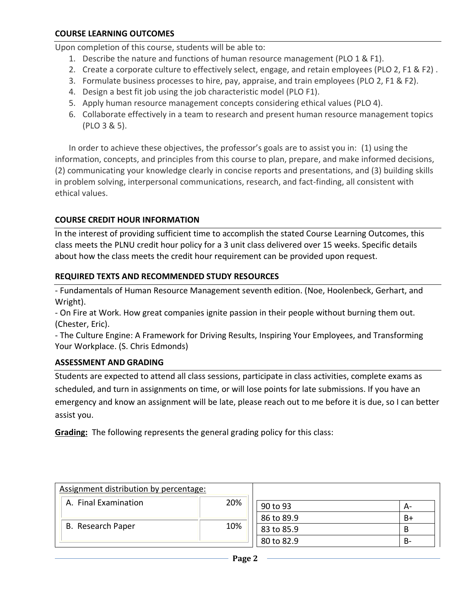Upon completion of this course, students will be able to:

- 1. Describe the nature and functions of human resource management (PLO 1 & F1).
- 2. Create a corporate culture to effectively select, engage, and retain employees (PLO 2, F1 & F2) .
- 3. Formulate business processes to hire, pay, appraise, and train employees (PLO 2, F1 & F2).
- 4. Design a best fit job using the job characteristic model (PLO F1).
- 5. Apply human resource management concepts considering ethical values (PLO 4).
- 6. Collaborate effectively in a team to research and present human resource management topics (PLO 3 & 5).

In order to achieve these objectives, the professor's goals are to assist you in: (1) using the information, concepts, and principles from this course to plan, prepare, and make informed decisions, (2) communicating your knowledge clearly in concise reports and presentations, and (3) building skills in problem solving, interpersonal communications, research, and fact-finding, all consistent with ethical values.

## **COURSE CREDIT HOUR INFORMATION**

In the interest of providing sufficient time to accomplish the stated Course Learning Outcomes, this class meets the PLNU credit hour policy for a 3 unit class delivered over 15 weeks. Specific details about how the class meets the credit hour requirement can be provided upon request.

## **REQUIRED TEXTS AND RECOMMENDED STUDY RESOURCES**

- Fundamentals of Human Resource Management seventh edition. (Noe, Hoolenbeck, Gerhart, and Wright).

- On Fire at Work. How great companies ignite passion in their people without burning them out. (Chester, Eric).

- The Culture Engine: A Framework for Driving Results, Inspiring Your Employees, and Transforming Your Workplace. (S. Chris Edmonds)

## **ASSESSMENT AND GRADING**

Students are expected to attend all class sessions, participate in class activities, complete exams as scheduled, and turn in assignments on time, or will lose points for late submissions. If you have an emergency and know an assignment will be late, please reach out to me before it is due, so I can better assist you.

**Grading:** The following represents the general grading policy for this class:

| Assignment distribution by percentage: |     |            |      |
|----------------------------------------|-----|------------|------|
| A. Final Examination                   | 20% | 90 to 93   | А-   |
|                                        |     | 86 to 89.9 | $B+$ |
| B. Research Paper                      | 10% | 83 to 85.9 | B    |
|                                        |     | 80 to 82.9 | B-   |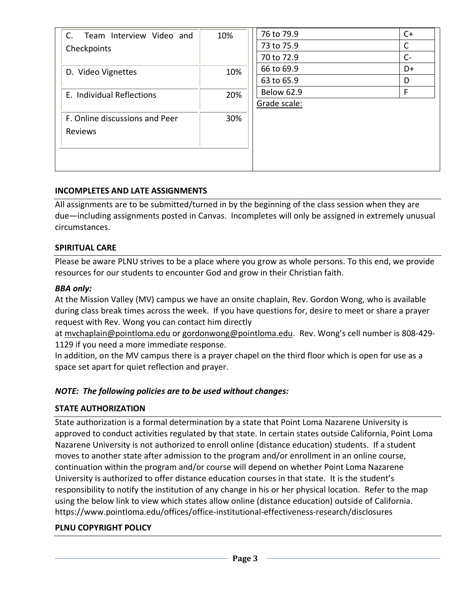| C.<br>Team Interview Video and<br>Checkpoints | 10% | 76 to 79.9        | $C+$  |
|-----------------------------------------------|-----|-------------------|-------|
|                                               |     | 73 to 75.9        | C     |
|                                               |     | 70 to 72.9        | $C -$ |
| D. Video Vignettes                            | 10% | 66 to 69.9        | D+    |
|                                               |     | 63 to 65.9        | D     |
| E. Individual Reflections                     | 20% | <b>Below 62.9</b> | F     |
|                                               |     | Grade scale:      |       |
| F. Online discussions and Peer                | 30% |                   |       |
| Reviews                                       |     |                   |       |
|                                               |     |                   |       |
|                                               |     |                   |       |
|                                               |     |                   |       |

## **INCOMPLETES AND LATE ASSIGNMENTS**

All assignments are to be submitted/turned in by the beginning of the class session when they are due—including assignments posted in Canvas. Incompletes will only be assigned in extremely unusual circumstances.

## **SPIRITUAL CARE**

Please be aware PLNU strives to be a place where you grow as whole persons. To this end, we provide resources for our students to encounter God and grow in their Christian faith.

## *BBA only:*

At the Mission Valley (MV) campus we have an onsite chaplain, Rev. Gordon Wong, who is available during class break times across the week. If you have questions for, desire to meet or share a prayer request with Rev. Wong you can contact him directly

at [mvchaplain@pointloma.edu](mailto:mvchaplain@pointloma.edu) or [gordonwong@pointloma.edu.](mailto:gordonwong@pointloma.edu) Rev. Wong's cell number is 808-429- 1129 if you need a more immediate response.

In addition, on the MV campus there is a prayer chapel on the third floor which is open for use as a space set apart for quiet reflection and prayer.

# *NOTE: The following policies are to be used without changes:*

## **STATE AUTHORIZATION**

State authorization is a formal determination by a state that Point Loma Nazarene University is approved to conduct activities regulated by that state. In certain states outside California, Point Loma Nazarene University is not authorized to enroll online (distance education) students. If a student moves to another state after admission to the program and/or enrollment in an online course, continuation within the program and/or course will depend on whether Point Loma Nazarene University is authorized to offer distance education courses in that state. It is the student's responsibility to notify the institution of any change in his or her physical location. Refer to the map using the below link to view which states allow online (distance education) outside of California. <https://www.pointloma.edu/offices/office-institutional-effectiveness-research/disclosures>

# **PLNU COPYRIGHT POLICY**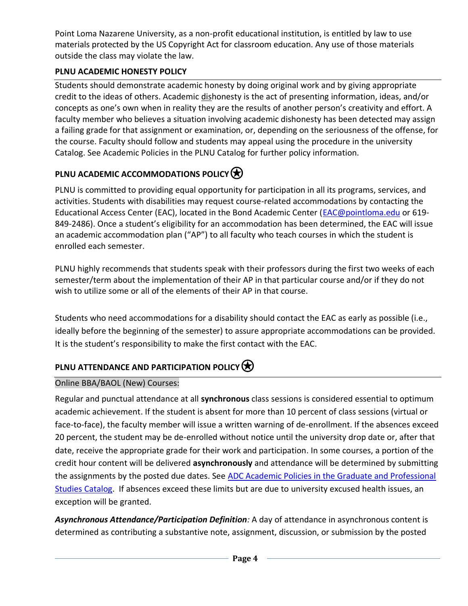Point Loma Nazarene University, as a non-profit educational institution, is entitled by law to use materials protected by the US Copyright Act for classroom education. Any use of those materials outside the class may violate the law.

# **PLNU ACADEMIC HONESTY POLICY**

Students should demonstrate academic honesty by doing original work and by giving appropriate credit to the ideas of others. Academic dishonesty is the act of presenting information, ideas, and/or concepts as one's own when in reality they are the results of another person's creativity and effort. A faculty member who believes a situation involving academic dishonesty has been detected may assign a failing grade for that assignment or examination, or, depending on the seriousness of the offense, for the course. Faculty should follow and students may appeal using the procedure in the university Catalog. See Academic Policies in the PLNU Catalog for further policy information.

# **PLNU ACADEMIC ACCOMMODATIONS POLICY**

PLNU is committed to providing equal opportunity for participation in all its programs, services, and activities. Students with disabilities may request course-related accommodations by contacting the Educational Access Center (EAC), located in the Bond Academic Center [\(EAC@pointloma.edu](mailto:EAC@pointloma.edu) or 619- 849-2486). Once a student's eligibility for an accommodation has been determined, the EAC will issue an academic accommodation plan ("AP") to all faculty who teach courses in which the student is enrolled each semester.

PLNU highly recommends that students speak with their professors during the first two weeks of each semester/term about the implementation of their AP in that particular course and/or if they do not wish to utilize some or all of the elements of their AP in that course.

Students who need accommodations for a disability should contact the EAC as early as possible (i.e., ideally before the beginning of the semester) to assure appropriate accommodations can be provided. It is the student's responsibility to make the first contact with the EAC.

# **PLNU ATTENDANCE AND PARTICIPATION POLICY**

# Online BBA/BAOL (New) Courses:

Regular and punctual attendance at all **synchronous** class sessions is considered essential to optimum academic achievement. If the student is absent for more than 10 percent of class sessions (virtual or face-to-face), the faculty member will issue a written warning of de-enrollment. If the absences exceed 20 percent, the student may be de-enrolled without notice until the university drop date or, after that date, receive the appropriate grade for their work and participation. In some courses, a portion of the credit hour content will be delivered **asynchronously** and attendance will be determined by submitting the assignments by the posted due dates. See [ADC Academic Policies in the Graduate and Professional](https://catalog.pointloma.edu/content.php?catoid=54&navoid=3033#acadhonesty)  [Studies Catalog.](https://catalog.pointloma.edu/content.php?catoid=54&navoid=3033#acadhonesty) If absences exceed these limits but are due to university excused health issues, an exception will be granted.

*Asynchronous Attendance/Participation Definition:* A day of attendance in asynchronous content is determined as contributing a substantive note, assignment, discussion, or submission by the posted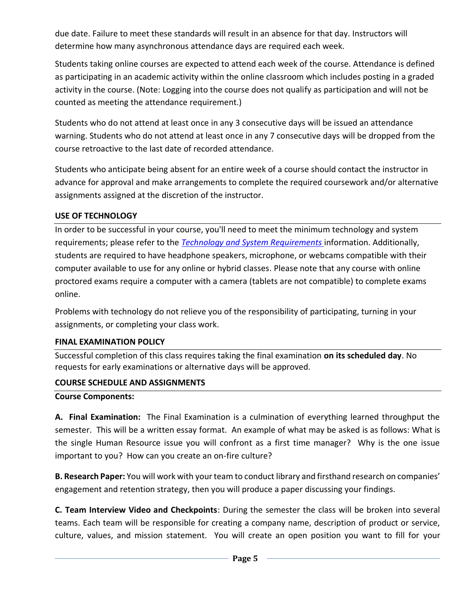due date. Failure to meet these standards will result in an absence for that day. Instructors will determine how many asynchronous attendance days are required each week.

Students taking online courses are expected to attend each week of the course. Attendance is defined as participating in an academic activity within the online classroom which includes posting in a graded activity in the course. (Note: Logging into the course does not qualify as participation and will not be counted as meeting the attendance requirement.)

Students who do not attend at least once in any 3 consecutive days will be issued an attendance warning. Students who do not attend at least once in any 7 consecutive days will be dropped from the course retroactive to the last date of recorded attendance.

Students who anticipate being absent for an entire week of a course should contact the instructor in advance for approval and make arrangements to complete the required coursework and/or alternative assignments assigned at the discretion of the instructor.

## **USE OF TECHNOLOGY**

In order to be successful in your course, you'll need to meet the minimum technology and system requirements; please refer to the *[Technology and System Requirements](https://help.pointloma.edu/TDClient/1808/Portal/KB/ArticleDet?ID=108349)* information. Additionally, students are required to have headphone speakers, microphone, or webcams compatible with their computer available to use for any online or hybrid classes. Please note that any course with online proctored exams require a computer with a camera (tablets are not compatible) to complete exams online.

Problems with technology do not relieve you of the responsibility of participating, turning in your assignments, or completing your class work.

## **FINAL EXAMINATION POLICY**

Successful completion of this class requires taking the final examination **on its scheduled day**. No requests for early examinations or alternative days will be approved.

## **COURSE SCHEDULE AND ASSIGNMENTS**

## **Course Components:**

**A. Final Examination:** The Final Examination is a culmination of everything learned throughput the semester. This will be a written essay format. An example of what may be asked is as follows: What is the single Human Resource issue you will confront as a first time manager? Why is the one issue important to you? How can you create an on-fire culture?

**B. Research Paper:** You will work with your team to conduct library and firsthand research on companies' engagement and retention strategy, then you will produce a paper discussing your findings.

**C. Team Interview Video and Checkpoints**: During the semester the class will be broken into several teams. Each team will be responsible for creating a company name, description of product or service, culture, values, and mission statement. You will create an open position you want to fill for your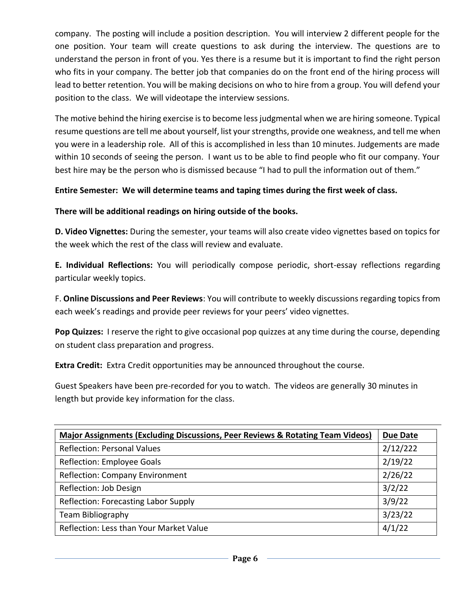company. The posting will include a position description. You will interview 2 different people for the one position. Your team will create questions to ask during the interview. The questions are to understand the person in front of you. Yes there is a resume but it is important to find the right person who fits in your company. The better job that companies do on the front end of the hiring process will lead to better retention. You will be making decisions on who to hire from a group. You will defend your position to the class. We will videotape the interview sessions.

The motive behind the hiring exercise is to become less judgmental when we are hiring someone. Typical resume questions are tell me about yourself, list your strengths, provide one weakness, and tell me when you were in a leadership role. All of this is accomplished in less than 10 minutes. Judgements are made within 10 seconds of seeing the person. I want us to be able to find people who fit our company. Your best hire may be the person who is dismissed because "I had to pull the information out of them."

## **Entire Semester: We will determine teams and taping times during the first week of class.**

## **There will be additional readings on hiring outside of the books.**

**D. Video Vignettes:** During the semester, your teams will also create video vignettes based on topics for the week which the rest of the class will review and evaluate.

**E. Individual Reflections:** You will periodically compose periodic, short-essay reflections regarding particular weekly topics.

F. **Online Discussions and Peer Reviews**: You will contribute to weekly discussions regarding topics from each week's readings and provide peer reviews for your peers' video vignettes.

**Pop Quizzes:** I reserve the right to give occasional pop quizzes at any time during the course, depending on student class preparation and progress.

**Extra Credit:** Extra Credit opportunities may be announced throughout the course.

Guest Speakers have been pre-recorded for you to watch. The videos are generally 30 minutes in length but provide key information for the class.

| <b>Major Assignments (Excluding Discussions, Peer Reviews &amp; Rotating Team Videos)</b> | <b>Due Date</b> |
|-------------------------------------------------------------------------------------------|-----------------|
| <b>Reflection: Personal Values</b>                                                        | 2/12/222        |
| Reflection: Employee Goals                                                                | 2/19/22         |
| <b>Reflection: Company Environment</b>                                                    | 2/26/22         |
| Reflection: Job Design                                                                    | 3/2/22          |
| Reflection: Forecasting Labor Supply                                                      | 3/9/22          |
| Team Bibliography                                                                         | 3/23/22         |
| Reflection: Less than Your Market Value                                                   | 4/1/22          |